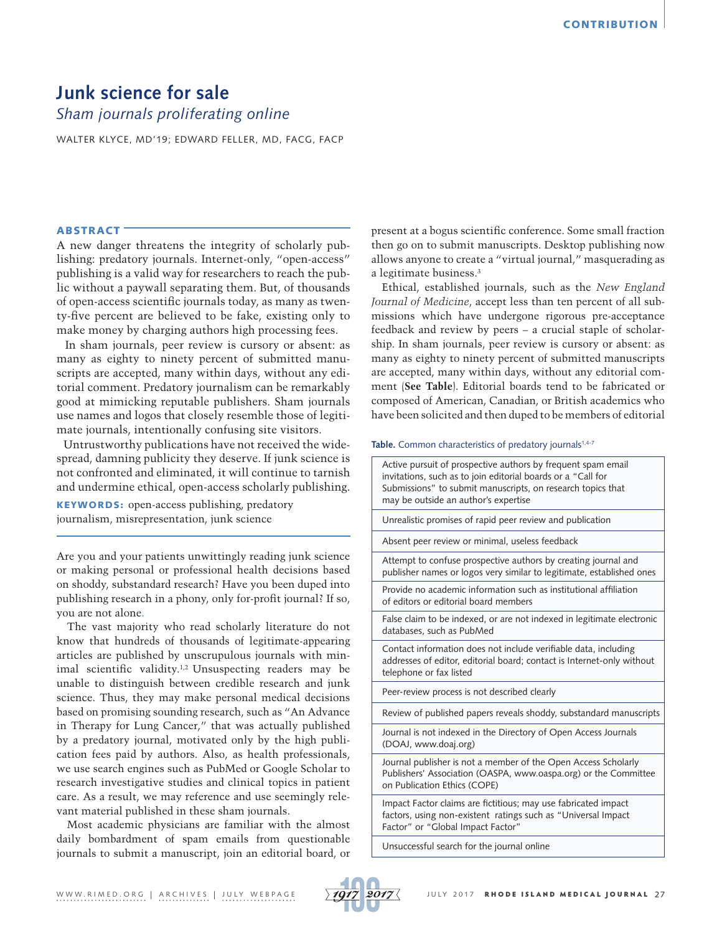# **Junk science for sale**  *Sham journals proliferating online*

WALTER KLYCE, MD'19; EDWARD FELLER, MD, FACG, FACP

## ABSTRACT

A new danger threatens the integrity of scholarly publishing: predatory journals. Internet-only, "open-access" publishing is a valid way for researchers to reach the public without a paywall separating them. But, of thousands of open-access scientific journals today, as many as twenty-five percent are believed to be fake, existing only to make money by charging authors high processing fees.

 In sham journals, peer review is cursory or absent: as many as eighty to ninety percent of submitted manuscripts are accepted, many within days, without any editorial comment. Predatory journalism can be remarkably good at mimicking reputable publishers. Sham journals use names and logos that closely resemble those of legitimate journals, intentionally confusing site visitors.

 Untrustworthy publications have not received the widespread, damning publicity they deserve. If junk science is not confronted and eliminated, it will continue to tarnish and undermine ethical, open-access scholarly publishing.

KEYWORDS: open-access publishing, predatory journalism, misrepresentation, junk science

Are you and your patients unwittingly reading junk science or making personal or professional health decisions based on shoddy, substandard research? Have you been duped into publishing research in a phony, only for-profit journal? If so, you are not alone.

The vast majority who read scholarly literature do not know that hundreds of thousands of legitimate-appearing articles are published by unscrupulous journals with minimal scientific validity.1,2 Unsuspecting readers may be unable to distinguish between credible research and junk science. Thus, they may make personal medical decisions based on promising sounding research, such as "An Advance in Therapy for Lung Cancer," that was actually published by a predatory journal, motivated only by the high publication fees paid by authors. Also, as health professionals, we use search engines such as PubMed or Google Scholar to research investigative studies and clinical topics in patient care. As a result, we may reference and use seemingly relevant material published in these sham journals.

Most academic physicians are familiar with the almost daily bombardment of spam emails from questionable journals to submit a manuscript, join an editorial board, or present at a bogus scientific conference. Some small fraction then go on to submit manuscripts. Desktop publishing now allows anyone to create a "virtual journal," masquerading as a legitimate business.3

Ethical, established journals, such as the *New England Journal of Medicine*, accept less than ten percent of all submissions which have undergone rigorous pre-acceptance feedback and review by peers – a crucial staple of scholarship. In sham journals, peer review is cursory or absent: as many as eighty to ninety percent of submitted manuscripts are accepted, many within days, without any editorial comment (**See Table**). Editorial boards tend to be fabricated or composed of American, Canadian, or British academics who have been solicited and then duped to be members of editorial

#### Table. Common characteristics of predatory journals<sup>1,4-7</sup>

| Active pursuit of prospective authors by frequent spam email<br>invitations, such as to join editorial boards or a "Call for<br>Submissions" to submit manuscripts, on research topics that<br>may be outside an author's expertise |
|-------------------------------------------------------------------------------------------------------------------------------------------------------------------------------------------------------------------------------------|
| Unrealistic promises of rapid peer review and publication                                                                                                                                                                           |
| Absent peer review or minimal, useless feedback                                                                                                                                                                                     |
| Attempt to confuse prospective authors by creating journal and<br>publisher names or logos very similar to legitimate, established ones                                                                                             |
| Provide no academic information such as institutional affiliation<br>of editors or editorial board members                                                                                                                          |
| False claim to be indexed, or are not indexed in legitimate electronic<br>databases, such as PubMed                                                                                                                                 |
| Contact information does not include verifiable data, including<br>addresses of editor, editorial board; contact is Internet-only without<br>telephone or fax listed                                                                |
| Peer-review process is not described clearly                                                                                                                                                                                        |
| Review of published papers reveals shoddy, substandard manuscripts                                                                                                                                                                  |
| Journal is not indexed in the Directory of Open Access Journals<br>(DOAJ, www.doaj.org)                                                                                                                                             |
| Journal publisher is not a member of the Open Access Scholarly<br>Publishers' Association (OASPA, www.oaspa.org) or the Committee<br>on Publication Ethics (COPE)                                                                   |
| Impact Factor claims are fictitious; may use fabricated impact<br>factors, using non-existent ratings such as "Universal Impact<br>Factor" or "Global Impact Factor"                                                                |

Unsuccessful search for the journal online

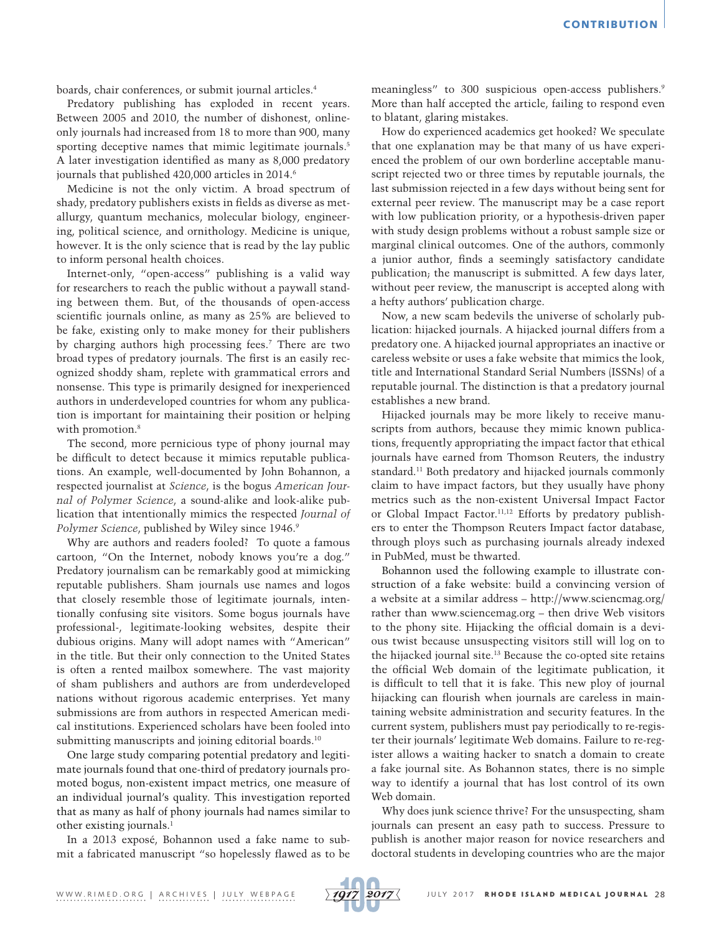boards, chair conferences, or submit journal articles.4

Predatory publishing has exploded in recent years. Between 2005 and 2010, the number of dishonest, onlineonly journals had increased from 18 to more than 900, many sporting deceptive names that mimic legitimate journals.<sup>5</sup> A later investigation identified as many as 8,000 predatory journals that published 420,000 articles in 2014.<sup>6</sup>

Medicine is not the only victim. A broad spectrum of shady, predatory publishers exists in fields as diverse as metallurgy, quantum mechanics, molecular biology, engineering, political science, and ornithology. Medicine is unique, however. It is the only science that is read by the lay public to inform personal health choices.

Internet-only, "open-access" publishing is a valid way for researchers to reach the public without a paywall standing between them. But, of the thousands of open-access scientific journals online, as many as 25% are believed to be fake, existing only to make money for their publishers by charging authors high processing fees.7 There are two broad types of predatory journals. The first is an easily recognized shoddy sham, replete with grammatical errors and nonsense. This type is primarily designed for inexperienced authors in underdeveloped countries for whom any publication is important for maintaining their position or helping with promotion.<sup>8</sup>

The second, more pernicious type of phony journal may be difficult to detect because it mimics reputable publications. An example, well-documented by John Bohannon, a respected journalist at *Science*, is the bogus *American Journal of Polymer Science*, a sound-alike and look-alike publication that intentionally mimics the respected *Journal of Polymer Science*, published by Wiley since 1946.<sup>9</sup>

Why are authors and readers fooled? To quote a famous cartoon, "On the Internet, nobody knows you're a dog." Predatory journalism can be remarkably good at mimicking reputable publishers. Sham journals use names and logos that closely resemble those of legitimate journals, intentionally confusing site visitors. Some bogus journals have professional-, legitimate-looking websites, despite their dubious origins. Many will adopt names with "American" in the title. But their only connection to the United States is often a rented mailbox somewhere. The vast majority of sham publishers and authors are from underdeveloped nations without rigorous academic enterprises. Yet many submissions are from authors in respected American medical institutions. Experienced scholars have been fooled into submitting manuscripts and joining editorial boards.<sup>10</sup>

One large study comparing potential predatory and legitimate journals found that one-third of predatory journals promoted bogus, non-existent impact metrics, one measure of an individual journal's quality. This investigation reported that as many as half of phony journals had names similar to other existing journals.<sup>1</sup>

In a 2013 exposé, Bohannon used a fake name to submit a fabricated manuscript "so hopelessly flawed as to be meaningless" to 300 suspicious open-access publishers.<sup>9</sup> More than half accepted the article, failing to respond even to blatant, glaring mistakes.

How do experienced academics get hooked? We speculate that one explanation may be that many of us have experienced the problem of our own borderline acceptable manuscript rejected two or three times by reputable journals, the last submission rejected in a few days without being sent for external peer review. The manuscript may be a case report with low publication priority, or a hypothesis-driven paper with study design problems without a robust sample size or marginal clinical outcomes. One of the authors, commonly a junior author, finds a seemingly satisfactory candidate publication; the manuscript is submitted. A few days later, without peer review, the manuscript is accepted along with a hefty authors' publication charge.

Now, a new scam bedevils the universe of scholarly publication: hijacked journals. A hijacked journal differs from a predatory one. A hijacked journal appropriates an inactive or careless website or uses a fake website that mimics the look, title and International Standard Serial Numbers (ISSNs) of a reputable journal. The distinction is that a predatory journal establishes a new brand.

Hijacked journals may be more likely to receive manuscripts from authors, because they mimic known publications, frequently appropriating the impact factor that ethical journals have earned from Thomson Reuters, the industry standard.11 Both predatory and hijacked journals commonly claim to have impact factors, but they usually have phony metrics such as the non-existent Universal Impact Factor or Global Impact Factor.11,12 Efforts by predatory publishers to enter the Thompson Reuters Impact factor database, through ploys such as purchasing journals already indexed in PubMed, must be thwarted.

Bohannon used the following example to illustrate construction of a fake website: build a convincing version of a website at a similar address – http://www.sciencmag.org/ rather than [www.sciencemag.org](http://www.sciencemag.org) – then drive Web visitors to the phony site. Hijacking the official domain is a devious twist because unsuspecting visitors still will log on to the hijacked journal site.13 Because the co-opted site retains the official Web domain of the legitimate publication, it is difficult to tell that it is fake. This new ploy of journal hijacking can flourish when journals are careless in maintaining website administration and security features. In the current system, publishers must pay periodically to re-register their journals' legitimate Web domains. Failure to re-register allows a waiting hacker to snatch a domain to create a fake journal site. As Bohannon states, there is no simple way to identify a journal that has lost control of its own Web domain.

Why does junk science thrive? For the unsuspecting, sham journals can present an easy path to success. Pressure to publish is another major reason for novice researchers and doctoral students in developing countries who are the major